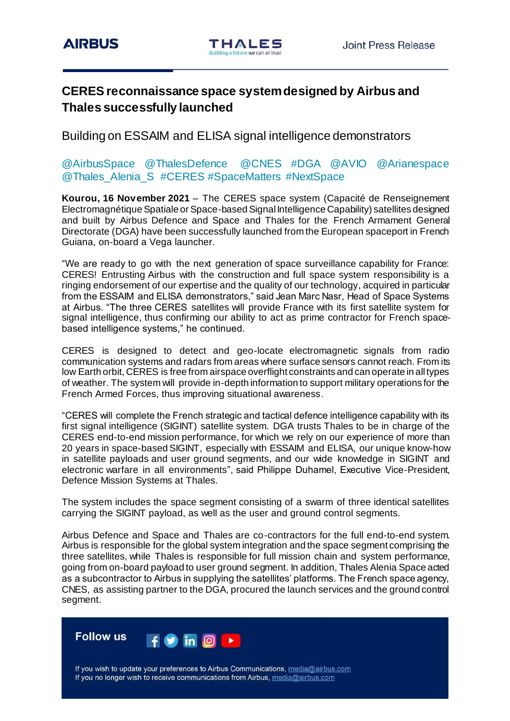# **CERES reconnaissance space system designed by Airbus and Thales successfully launched**

Building on ESSAIM and ELISA signal intelligence demonstrators

## @AirbusSpace @ThalesDefence @CNES #DGA @AVIO @Arianespace @Thales\_Alenia\_S\_#CERES #SpaceMatters #NextSpace

**Kourou, 16 November 2021** – The CERES space system (Capacité de Renseignement Electromagnétique Spatiale or Space-based Signal Intelligence Capability) satellites designed and built by Airbus Defence and Space and Thales for the French Armament General Directorate (DGA) have been successfully launched from the European spaceport in French Guiana, on-board a Vega launcher.

"We are ready to go with the next generation of space surveillance capability for France: CERES! Entrusting Airbus with the construction and full space system responsibility is a ringing endorsement of our expertise and the quality of our technology, acquired in particular from the ESSAIM and ELISA demonstrators," said Jean Marc Nasr, Head of Space Systems at Airbus. "The three CERES satellites will provide France with its first satellite system for signal intelligence, thus confirming our ability to act as prime contractor for French spacebased intelligence systems," he continued.

CERES is designed to detect and geo-locate electromagnetic signals from radio communication systems and radars from areas where surface sensors cannot reach. From its low Earth orbit, CERES is free from airspace overflight constraints and can operate in all types of weather. The system will provide in-depth information to support military operations for the French Armed Forces, thus improving situational awareness.

"CERES will complete the French strategic and tactical defence intelligence capability with its first signal intelligence (SIGINT) satellite system. DGA trusts Thales to be in charge of the CERES end-to-end mission performance, for which we rely on our experience of more than 20 years in space-based SIGINT, especially with ESSAIM and ELISA, our unique know-how in satellite payloads and user ground segments, and our wide knowledge in SIGINT and electronic warfare in all environments", said Philippe Duhamel, Executive Vice-President, Defence Mission Systems at Thales.

The system includes the space segment consisting of a swarm of three identical satellites carrying the SIGINT payload, as well as the user and ground control segments.

Airbus Defence and Space and Thales are co-contractors for the full end-to-end system. Airbus is responsible for the global system integration and the space segment comprising the three satellites, while Thales is responsible for full mission chain and system performance, going from on-board payload to user ground segment. In addition, Thales Alenia Space acted as a subcontractor to Airbus in supplying the satellites' platforms. The French space agency, CNES, as assisting partner to the DGA, procured the launch services and the ground control segment.



If you wish to update your preferences to Airbus Communications, media@airbus.com If you no longer wish to receive communications from Airbus, media@airbus.com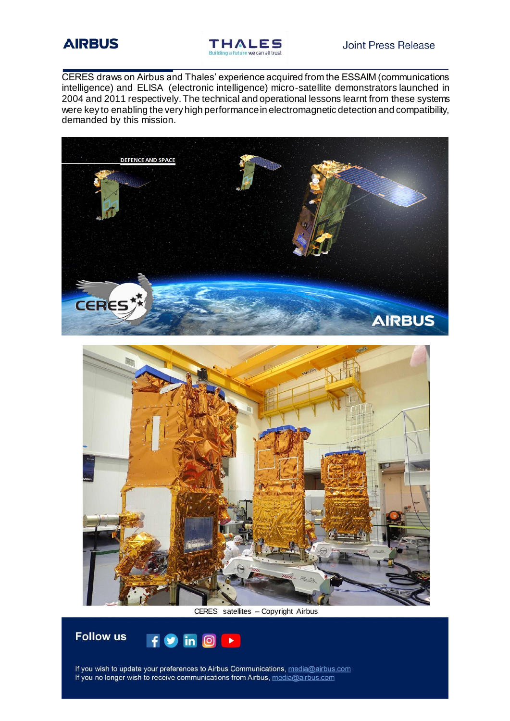



CERES draws on Airbus and Thales' experience acquired from the ESSAIM (communications intelligence) and ELISA (electronic intelligence) micro-satellite demonstrators launched in 2004 and 2011 respectively. The technical and operational lessons learnt from these systems were key to enabling the very high performance in electromagnetic detection and compatibility, demanded by this mission.







If you wish to update your preferences to Airbus Communications, media@airbus.com If you no longer wish to receive communications from Airbus, media@airbus.com